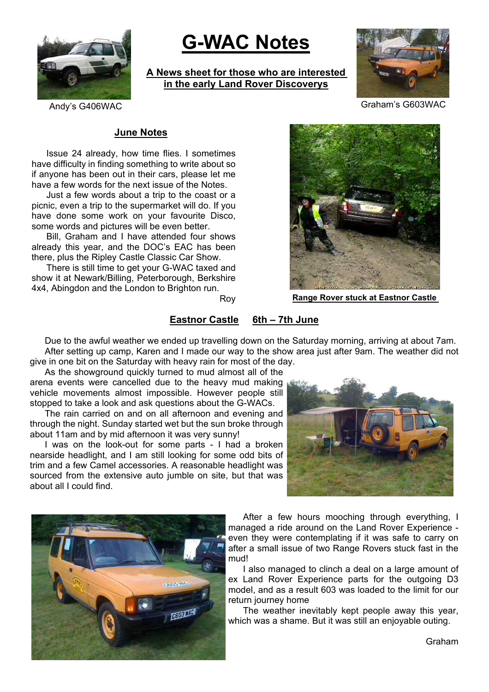

# **G-WAC Notes**

**A News sheet for those who are interested in the early Land Rover Discoverys**



Andy's G406WAC Graham's G603WAC

## **June Notes**

Issue 24 already, how time flies. I sometimes have difficulty in finding something to write about so if anyone has been out in their cars, please let me have a few words for the next issue of the Notes.

Just a few words about a trip to the coast or a picnic, even a trip to the supermarket will do. If you have done some work on your favourite Disco, some words and pictures will be even better.

Bill, Graham and I have attended four shows already this year, and the DOC's EAC has been there, plus the Ripley Castle Classic Car Show.

There is still time to get your G-WAC taxed and show it at Newark/Billing, Peterborough, Berkshire 4x4, Abingdon and the London to Brighton run.

Roy



**Range Rover stuck at Eastnor Castle**

## **Eastnor Castle 6th – 7th June**

Due to the awful weather we ended up travelling down on the Saturday morning, arriving at about 7am. After setting up camp, Karen and I made our way to the show area just after 9am. The weather did not give in one bit on the Saturday with heavy rain for most of the day.

As the showground quickly turned to mud almost all of the arena events were cancelled due to the heavy mud making vehicle movements almost impossible. However people still stopped to take a look and ask questions about the G-WACs.

The rain carried on and on all afternoon and evening and through the night. Sunday started wet but the sun broke through about 11am and by mid afternoon it was very sunny!

I was on the look-out for some parts - I had a broken nearside headlight, and I am still looking for some odd bits of trim and a few Camel accessories. A reasonable headlight was sourced from the extensive auto jumble on site, but that was about all I could find.





After a few hours mooching through everything. I managed a ride around on the Land Rover Experience even they were contemplating if it was safe to carry on after a small issue of two Range Rovers stuck fast in the mud!

I also managed to clinch a deal on a large amount of ex Land Rover Experience parts for the outgoing D3 model, and as a result 603 was loaded to the limit for our return journey home

The weather inevitably kept people away this year, which was a shame. But it was still an enjoyable outing.

Graham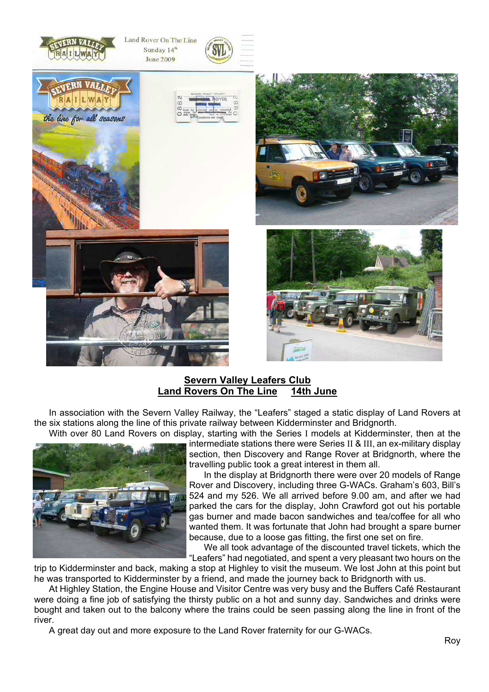









## **Severn Valley Leafers Club Land Rovers On The Line 14th June**

In association with the Severn Valley Railway, the "Leafers" staged a static display of Land Rovers at the six stations along the line of this private railway between Kidderminster and Bridgnorth. With over 80 Land Rovers on display, starting with the Series I models at Kidderminster, then at the



intermediate stations there were Series II & III, an ex-military display section, then Discovery and Range Rover at Bridgnorth, where the travelling public took a great interest in them all.

In the display at Bridgnorth there were over 20 models of Range Rover and Discovery, including three G-WACs. Graham's 603, Bill's 524 and my 526. We all arrived before 9.00 am, and after we had parked the cars for the display, John Crawford got out his portable gas burner and made bacon sandwiches and tea/coffee for all who wanted them. It was fortunate that John had brought a spare burner because, due to a loose gas fitting, the first one set on fire.

We all took advantage of the discounted travel tickets, which the "Leafers" had negotiated, and spent a very pleasant two hours on the

trip to Kidderminster and back, making a stop at Highley to visit the museum. We lost John at this point but he was transported to Kidderminster by a friend, and made the journey back to Bridgnorth with us.

At Highley Station, the Engine House and Visitor Centre was very busy and the Buffers Café Restaurant were doing a fine job of satisfying the thirsty public on a hot and sunny day. Sandwiches and drinks were bought and taken out to the balcony where the trains could be seen passing along the line in front of the river.

A great day out and more exposure to the Land Rover fraternity for our G-WACs.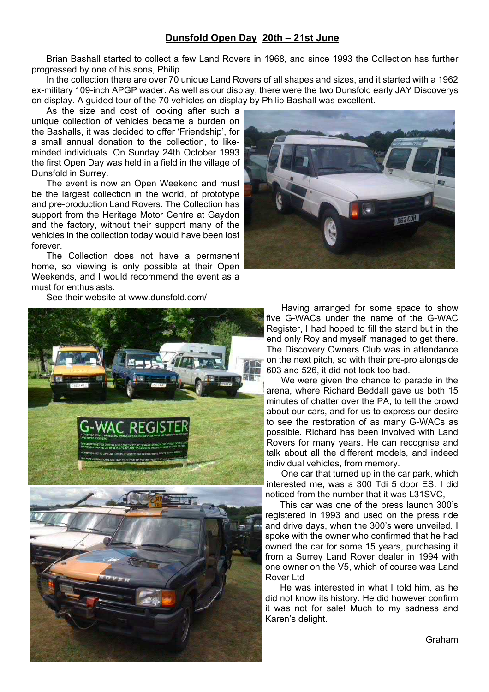## **Dunsfold Open Day 20th – 21st June**

Brian Bashall started to collect a few Land Rovers in 1968, and since 1993 the Collection has further progressed by one of his sons, Philip.

In the collection there are over 70 unique Land Rovers of all shapes and sizes, and it started with a 1962 ex-military 109-inch APGP wader. As well as our display, there were the two Dunsfold early JAY Discoverys on display. A guided tour of the 70 vehicles on display by Philip Bashall was excellent.

As the size and cost of looking after such a unique collection of vehicles became a burden on the Bashalls, it was decided to offer 'Friendship', for a small annual donation to the collection, to likeminded individuals. On Sunday 24th October 1993 the first Open Day was held in a field in the village of Dunsfold in Surrey.

The event is now an Open Weekend and must be the largest collection in the world, of prototype and pre-production Land Rovers. The Collection has support from the Heritage Motor Centre at Gaydon and the factory, without their support many of the vehicles in the collection today would have been lost forever.

The Collection does not have a permanent home, so viewing is only possible at their Open Weekends, and I would recommend the event as a must for enthusiasts.

See their website at www.dunsfold.com/





Having arranged for some space to show five G-WACs under the name of the G-WAC Register, I had hoped to fill the stand but in the end only Roy and myself managed to get there. The Discovery Owners Club was in attendance on the next pitch, so with their pre-pro alongside 603 and 526, it did not look too bad.

We were given the chance to parade in the arena, where Richard Beddall gave us both 15 minutes of chatter over the PA, to tell the crowd about our cars, and for us to express our desire to see the restoration of as many G-WACs as possible. Richard has been involved with Land Rovers for many years. He can recognise and talk about all the different models, and indeed individual vehicles, from memory.

One car that turned up in the car park, which interested me, was a 300 Tdi 5 door ES. I did noticed from the number that it was L31SVC,

This car was one of the press launch 300's registered in 1993 and used on the press ride and drive days, when the 300's were unveiled. I spoke with the owner who confirmed that he had owned the car for some 15 years, purchasing it from a Surrey Land Rover dealer in 1994 with one owner on the V5, which of course was Land Rover Ltd

He was interested in what I told him, as he did not know its history. He did however confirm it was not for sale! Much to my sadness and Karen's delight.

Graham